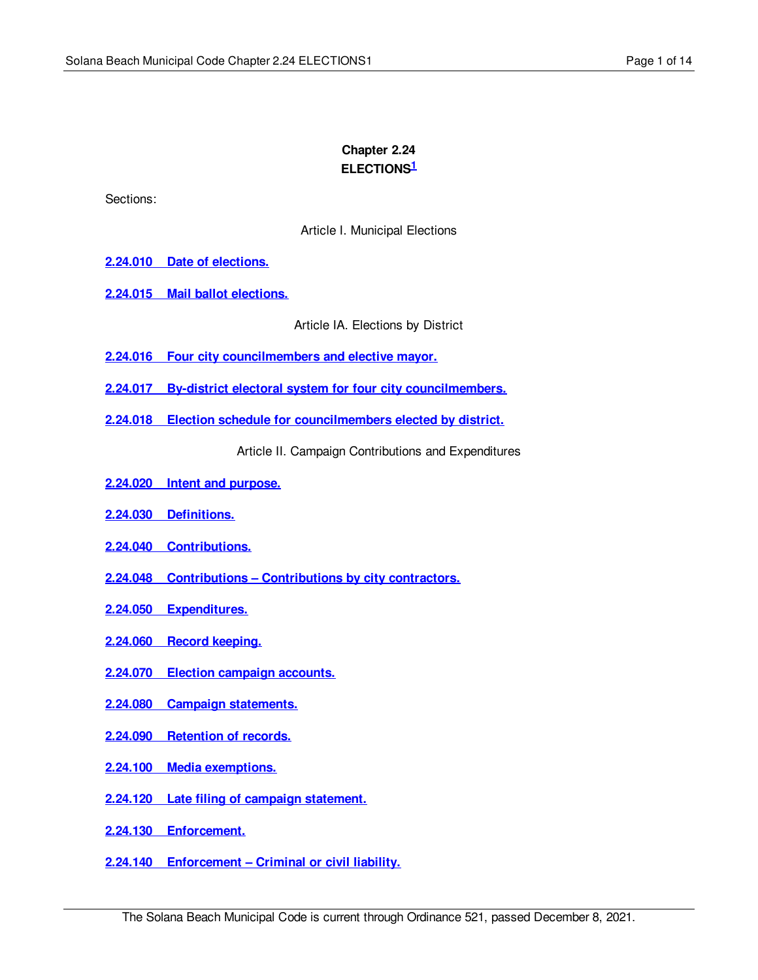# **Chapter 2.24 ELECTIONS 1**

Sections:

Article I. Municipal Elections

- **2.24.010 Date of [elections.](#page-1-0)**
- **2.24.015 Mail ballot [elections.](#page-1-1)**

Article IA. Elections by District

- **2.24.016 Four city [councilmembers](#page-2-0) and elective mayor.**
- **2.24.017 By-district electoral system for four city [councilmembers.](#page-2-1)**
- **2.24.018 Election schedule for [councilmembers](#page-2-2) elected by district.**

Article II. Campaign Contributions and Expenditures

- **2.24.020 Intent and [purpose.](#page-3-0)**
- **2.24.030 [Definitions.](#page-3-1)**
- **2.24.040 [Contributions.](#page-4-0)**
- **2.24.048 Contributions – [Contributions](#page-5-0) by city contractors.**
- **2.24.050 [Expenditures.](#page-6-0)**
- **2.24.060 Record [keeping.](#page-6-1)**
- **2.24.070 Election [campaign](#page-7-0) accounts.**
- **2.24.080 Campaign [statements.](#page-8-0)**
- **2.24.090 [Retention](#page-8-1) of records.**
- **2.24.100 Media [exemptions.](#page-9-0)**
- **2.24.120 Late filing of campaign [statement.](#page-9-1)**
- **2.24.130 [Enforcement.](#page-9-2)**
- **2.24.140 [Enforcement](#page-10-0) – Criminal or civil liability.**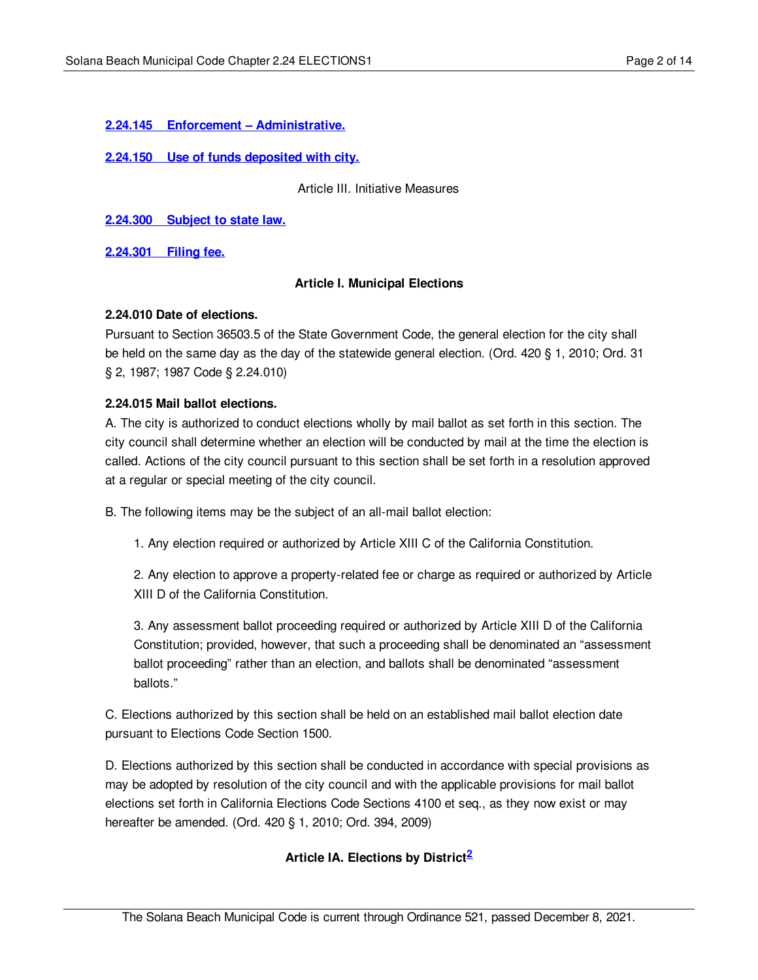### **2.24.145 Enforcement – [Administrative.](#page-10-1)**

#### **2.24.150 Use of funds [deposited](#page-12-0) with city.**

Article III. Initiative Measures

**[2.24.300](#page-12-1) Subject to state law.**

**[2.24.301](#page-12-2) Filing fee.**

### **Article I. Municipal Elections**

#### <span id="page-1-0"></span>**2.24.010 Date of elections.**

Pursuant to Section 36503.5 of the State Government Code, the general election for the city shall be held on the same day as the day of the statewide general election. (Ord. 420 § 1, 2010; Ord. 31 § 2, 1987; 1987 Code § 2.24.010)

# <span id="page-1-1"></span>**2.24.015 Mail ballot elections.**

A. The city is authorized to conduct elections wholly by mail ballot as set forth in this section. The city council shall determine whether an election will be conducted by mail at the time the election is called. Actions of the city council pursuant to this section shall be set forth in a resolution approved at a regular or special meeting of the city council.

B. The following items may be the subject of an all-mail ballot election:

1. Any election required or authorized by Article XIII C of the California Constitution.

2. Any election to approve a property-related fee or charge as required or authorized by Article XIII D of the California Constitution.

3. Any assessment ballot proceeding required or authorized by Article XIII D of the California Constitution; provided, however, that such a proceeding shall be denominated an "assessment ballot proceeding" rather than an election, and ballots shall be denominated "assessment ballots."

C. Elections authorized by this section shall be held on an established mail ballot election date pursuant to Elections Code Section 1500.

D. Elections authorized by this section shall be conducted in accordance with special provisions as may be adopted by resolution of the city council and with the applicable provisions for mail ballot elections set forth in California Elections Code Sections 4100 et seq., as they now exist or may hereafter be amended. (Ord. 420 § 1, 2010; Ord. 394, 2009)

# **Article IA. Elections by District<sup>2</sup>**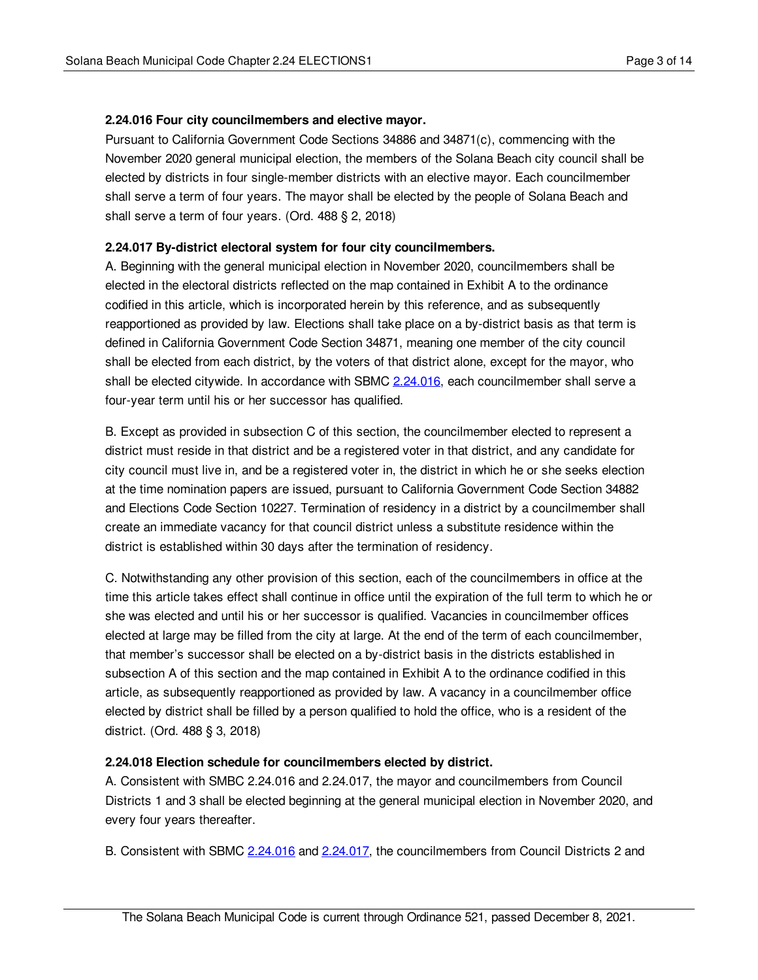### <span id="page-2-0"></span>**2.24.016 Four city councilmembers and elective mayor.**

Pursuant to California Government Code Sections 34886 and 34871(c), commencing with the November 2020 general municipal election, the members of the Solana Beach city council shall be elected by districts in four single-member districts with an elective mayor. Each councilmember shall serve a term of four years. The mayor shall be elected by the people of Solana Beach and shall serve a term of four years. (Ord. 488 § 2, 2018)

### <span id="page-2-1"></span>**2.24.017 By-district electoral system for four city councilmembers.**

A. Beginning with the general municipal election in November 2020, councilmembers shall be elected in the electoral districts reflected on the map contained in Exhibit A to the ordinance codified in this article, which is incorporated herein by this reference, and as subsequently reapportioned as provided by law. Elections shall take place on a by-district basis as that term is defined in California Government Code Section 34871, meaning one member of the city council shall be elected from each district, by the voters of that district alone, except for the mayor, who shall be elected citywide. In accordance with SBMC [2.24.016,](#page-2-0) each councilmember shall serve a four-year term until his or her successor has qualified.

B. Except as provided in subsection C of this section, the councilmember elected to represent a district must reside in that district and be a registered voter in that district, and any candidate for city council must live in, and be a registered voter in, the district in which he or she seeks election at the time nomination papers are issued, pursuant to California Government Code Section 34882 and Elections Code Section 10227. Termination of residency in a district by a councilmember shall create an immediate vacancy for that council district unless a substitute residence within the district is established within 30 days after the termination of residency.

C. Notwithstanding any other provision of this section, each of the councilmembers in office at the time this article takes effect shall continue in office until the expiration of the full term to which he or she was elected and until his or her successor is qualified. Vacancies in councilmember offices elected at large may be filled from the city at large. At the end of the term of each councilmember, that member's successor shall be elected on a by-district basis in the districts established in subsection A of this section and the map contained in Exhibit A to the ordinance codified in this article, as subsequently reapportioned as provided by law. A vacancy in a councilmember office elected by district shall be filled by a person qualified to hold the office, who is a resident of the district. (Ord. 488 § 3, 2018)

### <span id="page-2-2"></span>**2.24.018 Election schedule for councilmembers elected by district.**

A. Consistent with SMBC 2.24.016 and 2.24.017, the mayor and councilmembers from Council Districts 1 and 3 shall be elected beginning at the general municipal election in November 2020, and every four years thereafter.

B. Consistent with SBMC [2.24.016](#page-2-0) and [2.24.017](#page-2-1), the councilmembers from Council Districts 2 and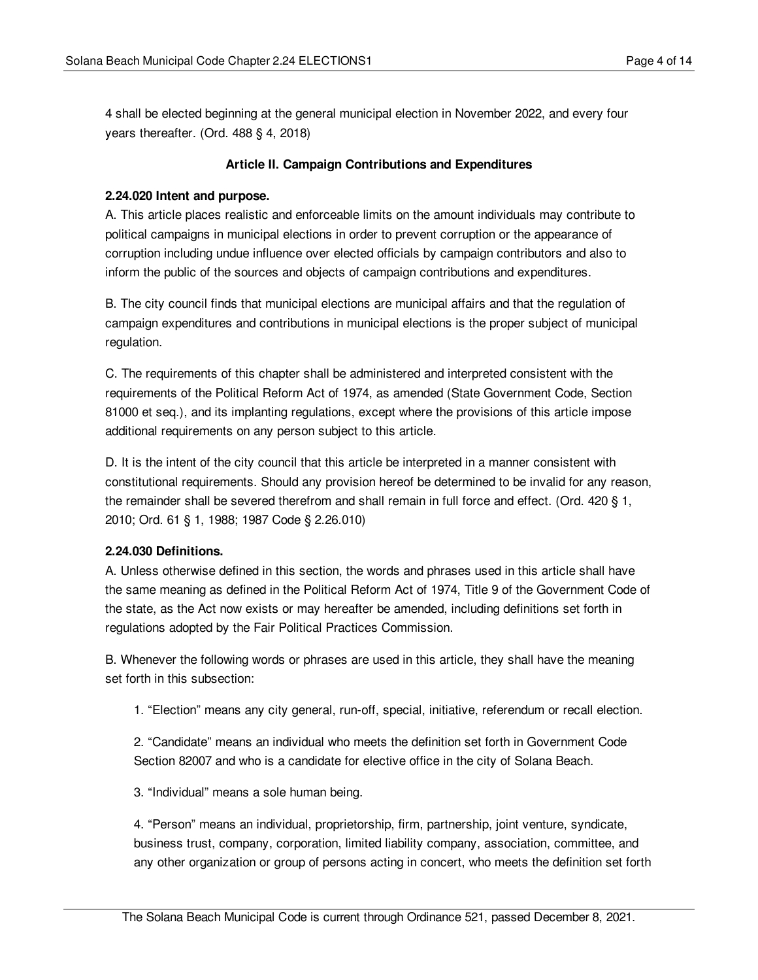4 shall be elected beginning at the general municipal election in November 2022, and every four years thereafter. (Ord. 488 § 4, 2018)

### **Article II. Campaign Contributions and Expenditures**

#### <span id="page-3-0"></span>**2.24.020 Intent and purpose.**

A. This article places realistic and enforceable limits on the amount individuals may contribute to political campaigns in municipal elections in order to prevent corruption or the appearance of corruption including undue influence over elected officials by campaign contributors and also to inform the public of the sources and objects of campaign contributions and expenditures.

B. The city council finds that municipal elections are municipal affairs and that the regulation of campaign expenditures and contributions in municipal elections is the proper subject of municipal regulation.

C. The requirements of this chapter shall be administered and interpreted consistent with the requirements of the Political Reform Act of 1974, as amended (State Government Code, Section 81000 et seq.), and its implanting regulations, except where the provisions of this article impose additional requirements on any person subject to this article.

D. It is the intent of the city council that this article be interpreted in a manner consistent with constitutional requirements. Should any provision hereof be determined to be invalid for any reason, the remainder shall be severed therefrom and shall remain in full force and effect. (Ord. 420 § 1, 2010; Ord. 61 § 1, 1988; 1987 Code § 2.26.010)

#### <span id="page-3-1"></span>**2.24.030 Definitions.**

A. Unless otherwise defined in this section, the words and phrases used in this article shall have the same meaning as defined in the Political Reform Act of 1974, Title 9 of the Government Code of the state, as the Act now exists or may hereafter be amended, including definitions set forth in regulations adopted by the Fair Political Practices Commission.

B. Whenever the following words or phrases are used in this article, they shall have the meaning set forth in this subsection:

1. "Election" means any city general, run-off, special, initiative, referendum or recall election.

2. "Candidate" means an individual who meets the definition set forth in Government Code Section 82007 and who is a candidate for elective office in the city of Solana Beach.

3. "Individual" means a sole human being.

4. "Person" means an individual, proprietorship, firm, partnership, joint venture, syndicate, business trust, company, corporation, limited liability company, association, committee, and any other organization or group of persons acting in concert, who meets the definition set forth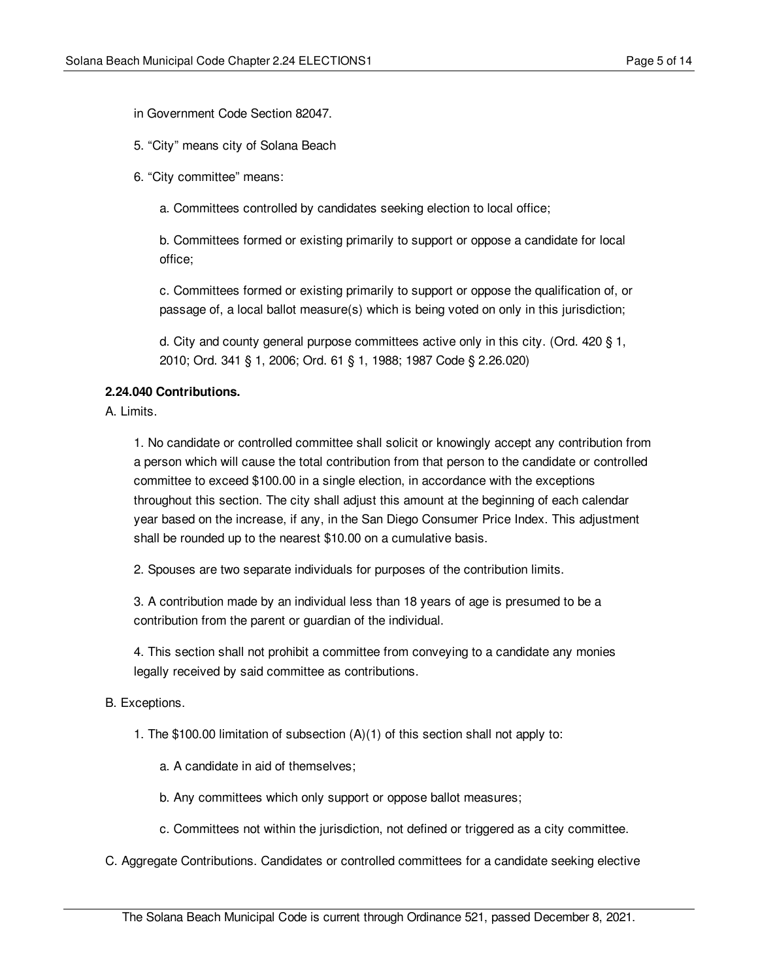in Government Code Section 82047.

5. "City" means city of Solana Beach

6. "City committee" means:

a. Committees controlled by candidates seeking election to local office;

b. Committees formed or existing primarily to support or oppose a candidate for local office;

c. Committees formed or existing primarily to support or oppose the qualification of, or passage of, a local ballot measure(s) which is being voted on only in this jurisdiction;

d. City and county general purpose committees active only in this city. (Ord. 420 § 1, 2010; Ord. 341 § 1, 2006; Ord. 61 § 1, 1988; 1987 Code § 2.26.020)

# <span id="page-4-0"></span>**2.24.040 Contributions.**

A. Limits.

1. No candidate or controlled committee shall solicit or knowingly accept any contribution from a person which will cause the total contribution from that person to the candidate or controlled committee to exceed \$100.00 in a single election, in accordance with the exceptions throughout this section. The city shall adjust this amount at the beginning of each calendar year based on the increase, if any, in the San Diego Consumer Price Index. This adjustment shall be rounded up to the nearest \$10.00 on a cumulative basis.

2. Spouses are two separate individuals for purposes of the contribution limits.

3. A contribution made by an individual less than 18 years of age is presumed to be a contribution from the parent or guardian of the individual.

4. This section shall not prohibit a committee from conveying to a candidate any monies legally received by said committee as contributions.

B. Exceptions.

1. The \$100.00 limitation of subsection (A)(1) of this section shall not apply to:

a. A candidate in aid of themselves;

b. Any committees which only support or oppose ballot measures;

c. Committees not within the jurisdiction, not defined or triggered as a city committee.

C. Aggregate Contributions. Candidates or controlled committees for a candidate seeking elective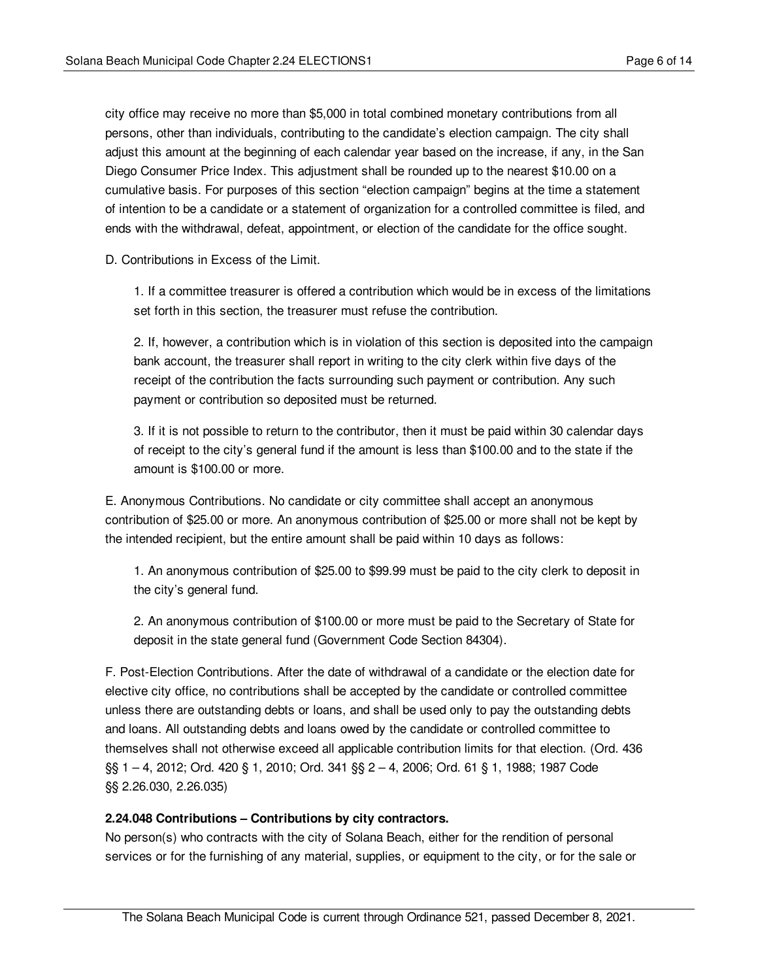city office may receive no more than \$5,000 in total combined monetary contributions from all persons, other than individuals, contributing to the candidate's election campaign. The city shall adjust this amount at the beginning of each calendar year based on the increase, if any, in the San Diego Consumer Price Index. This adjustment shall be rounded up to the nearest \$10.00 on a cumulative basis. For purposes of this section "election campaign" begins at the time a statement of intention to be a candidate or a statement of organization for a controlled committee is filed, and ends with the withdrawal, defeat, appointment, or election of the candidate for the office sought.

D. Contributions in Excess of the Limit.

1. If a committee treasurer is offered a contribution which would be in excess of the limitations set forth in this section, the treasurer must refuse the contribution.

2. If, however, a contribution which is in violation of this section is deposited into the campaign bank account, the treasurer shall report in writing to the city clerk within five days of the receipt of the contribution the facts surrounding such payment or contribution. Any such payment or contribution so deposited must be returned.

3. If it is not possible to return to the contributor, then it must be paid within 30 calendar days of receipt to the city's general fund if the amount is less than \$100.00 and to the state if the amount is \$100.00 or more.

E. Anonymous Contributions. No candidate or city committee shall accept an anonymous contribution of \$25.00 or more. An anonymous contribution of \$25.00 or more shall not be kept by the intended recipient, but the entire amount shall be paid within 10 days as follows:

1. An anonymous contribution of \$25.00 to \$99.99 must be paid to the city clerk to deposit in the city's general fund.

2. An anonymous contribution of \$100.00 or more must be paid to the Secretary of State for deposit in the state general fund (Government Code Section 84304).

F. Post-Election Contributions. After the date of withdrawal of a candidate or the election date for elective city office, no contributions shall be accepted by the candidate or controlled committee unless there are outstanding debts or loans, and shall be used only to pay the outstanding debts and loans. All outstanding debts and loans owed by the candidate or controlled committee to themselves shall not otherwise exceed all applicable contribution limits for that election. (Ord. 436 §§ 1 – 4, 2012; Ord. 420 § 1, 2010; Ord. 341 §§ 2 – 4, 2006; Ord. 61 § 1, 1988; 1987 Code §§ 2.26.030, 2.26.035)

#### <span id="page-5-0"></span>**2.24.048 Contributions – Contributions by city contractors.**

No person(s) who contracts with the city of Solana Beach, either for the rendition of personal services or for the furnishing of any material, supplies, or equipment to the city, or for the sale or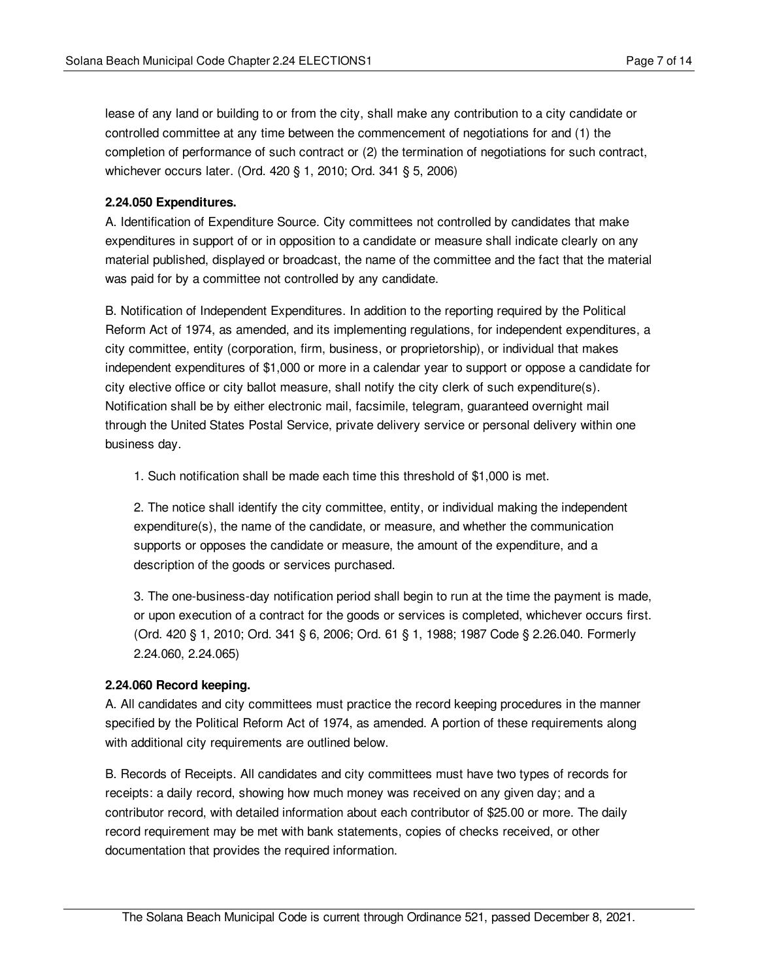lease of any land or building to or from the city, shall make any contribution to a city candidate or controlled committee at any time between the commencement of negotiations for and (1) the completion of performance of such contract or (2) the termination of negotiations for such contract, whichever occurs later. (Ord. 420 § 1, 2010; Ord. 341 § 5, 2006)

### <span id="page-6-0"></span>**2.24.050 Expenditures.**

A. Identification of Expenditure Source. City committees not controlled by candidates that make expenditures in support of or in opposition to a candidate or measure shall indicate clearly on any material published, displayed or broadcast, the name of the committee and the fact that the material was paid for by a committee not controlled by any candidate.

B. Notification of Independent Expenditures. In addition to the reporting required by the Political Reform Act of 1974, as amended, and its implementing regulations, for independent expenditures, a city committee, entity (corporation, firm, business, or proprietorship), or individual that makes independent expenditures of \$1,000 or more in a calendar year to support or oppose a candidate for city elective office or city ballot measure, shall notify the city clerk of such expenditure(s). Notification shall be by either electronic mail, facsimile, telegram, guaranteed overnight mail through the United States Postal Service, private delivery service or personal delivery within one business day.

1. Such notification shall be made each time this threshold of \$1,000 is met.

2. The notice shall identify the city committee, entity, or individual making the independent expenditure(s), the name of the candidate, or measure, and whether the communication supports or opposes the candidate or measure, the amount of the expenditure, and a description of the goods or services purchased.

3. The one-business-day notification period shall begin to run at the time the payment is made, or upon execution of a contract for the goods or services is completed, whichever occurs first. (Ord. 420 § 1, 2010; Ord. 341 § 6, 2006; Ord. 61 § 1, 1988; 1987 Code § 2.26.040. Formerly 2.24.060, 2.24.065)

#### <span id="page-6-1"></span>**2.24.060 Record keeping.**

A. All candidates and city committees must practice the record keeping procedures in the manner specified by the Political Reform Act of 1974, as amended. A portion of these requirements along with additional city requirements are outlined below.

B. Records of Receipts. All candidates and city committees must have two types of records for receipts: a daily record, showing how much money was received on any given day; and a contributor record, with detailed information about each contributor of \$25.00 or more. The daily record requirement may be met with bank statements, copies of checks received, or other documentation that provides the required information.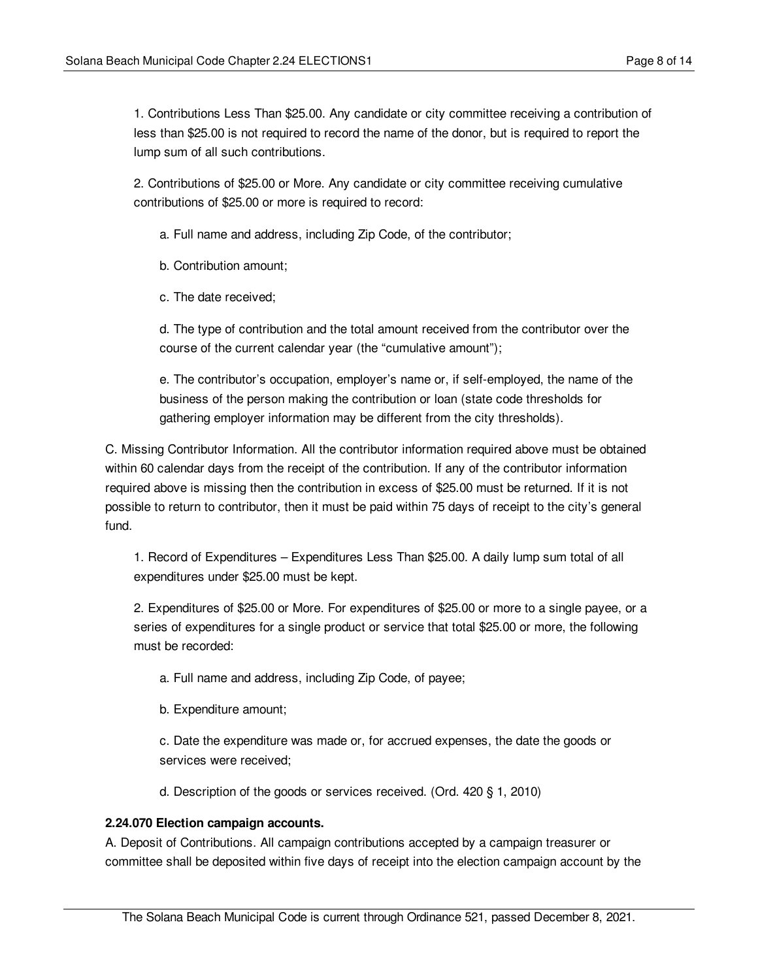1. Contributions Less Than \$25.00. Any candidate or city committee receiving a contribution of less than \$25.00 is not required to record the name of the donor, but is required to report the lump sum of all such contributions.

2. Contributions of \$25.00 or More. Any candidate or city committee receiving cumulative contributions of \$25.00 or more is required to record:

a. Full name and address, including Zip Code, of the contributor;

b. Contribution amount;

c. The date received;

d. The type of contribution and the total amount received from the contributor over the course of the current calendar year (the "cumulative amount");

e. The contributor's occupation, employer's name or, if self-employed, the name of the business of the person making the contribution or loan (state code thresholds for gathering employer information may be different from the city thresholds).

C. Missing Contributor Information. All the contributor information required above must be obtained within 60 calendar days from the receipt of the contribution. If any of the contributor information required above is missing then the contribution in excess of \$25.00 must be returned. If it is not possible to return to contributor, then it must be paid within 75 days of receipt to the city's general fund.

1. Record of Expenditures – Expenditures Less Than \$25.00. A daily lump sum total of all expenditures under \$25.00 must be kept.

2. Expenditures of \$25.00 or More. For expenditures of \$25.00 or more to a single payee, or a series of expenditures for a single product or service that total \$25.00 or more, the following must be recorded:

- a. Full name and address, including Zip Code, of payee;
- b. Expenditure amount;

c. Date the expenditure was made or, for accrued expenses, the date the goods or services were received;

d. Description of the goods or services received. (Ord. 420 § 1, 2010)

### <span id="page-7-0"></span>**2.24.070 Election campaign accounts.**

A. Deposit of Contributions. All campaign contributions accepted by a campaign treasurer or committee shall be deposited within five days of receipt into the election campaign account by the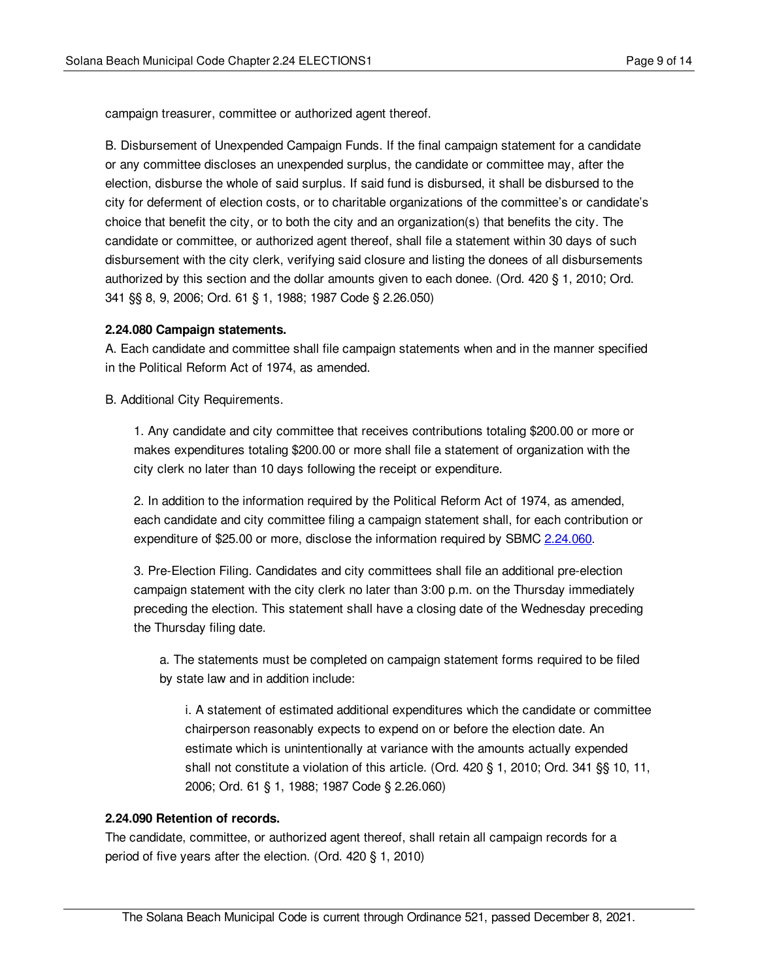campaign treasurer, committee or authorized agent thereof.

B. Disbursement of Unexpended Campaign Funds. If the final campaign statement for a candidate or any committee discloses an unexpended surplus, the candidate or committee may, after the election, disburse the whole of said surplus. If said fund is disbursed, it shall be disbursed to the city for deferment of election costs, or to charitable organizations of the committee's or candidate's choice that benefit the city, or to both the city and an organization(s) that benefits the city. The candidate or committee, or authorized agent thereof, shall file a statement within 30 days of such disbursement with the city clerk, verifying said closure and listing the donees of all disbursements authorized by this section and the dollar amounts given to each donee. (Ord. 420 § 1, 2010; Ord. 341 §§ 8, 9, 2006; Ord. 61 § 1, 1988; 1987 Code § 2.26.050)

#### <span id="page-8-0"></span>**2.24.080 Campaign statements.**

A. Each candidate and committee shall file campaign statements when and in the manner specified in the Political Reform Act of 1974, as amended.

B. Additional City Requirements.

1. Any candidate and city committee that receives contributions totaling \$200.00 or more or makes expenditures totaling \$200.00 or more shall file a statement of organization with the city clerk no later than 10 days following the receipt or expenditure.

2. In addition to the information required by the Political Reform Act of 1974, as amended, each candidate and city committee filing a campaign statement shall, for each contribution or expenditure of \$25.00 or more, disclose the information required by SBMC [2.24.060](#page-6-1).

3. Pre-Election Filing. Candidates and city committees shall file an additional pre-election campaign statement with the city clerk no later than 3:00 p.m. on the Thursday immediately preceding the election. This statement shall have a closing date of the Wednesday preceding the Thursday filing date.

a. The statements must be completed on campaign statement forms required to be filed by state law and in addition include:

i. A statement of estimated additional expenditures which the candidate or committee chairperson reasonably expects to expend on or before the election date. An estimate which is unintentionally at variance with the amounts actually expended shall not constitute a violation of this article. (Ord. 420 § 1, 2010; Ord. 341 §§ 10, 11, 2006; Ord. 61 § 1, 1988; 1987 Code § 2.26.060)

### <span id="page-8-1"></span>**2.24.090 Retention of records.**

The candidate, committee, or authorized agent thereof, shall retain all campaign records for a period of five years after the election. (Ord. 420 § 1, 2010)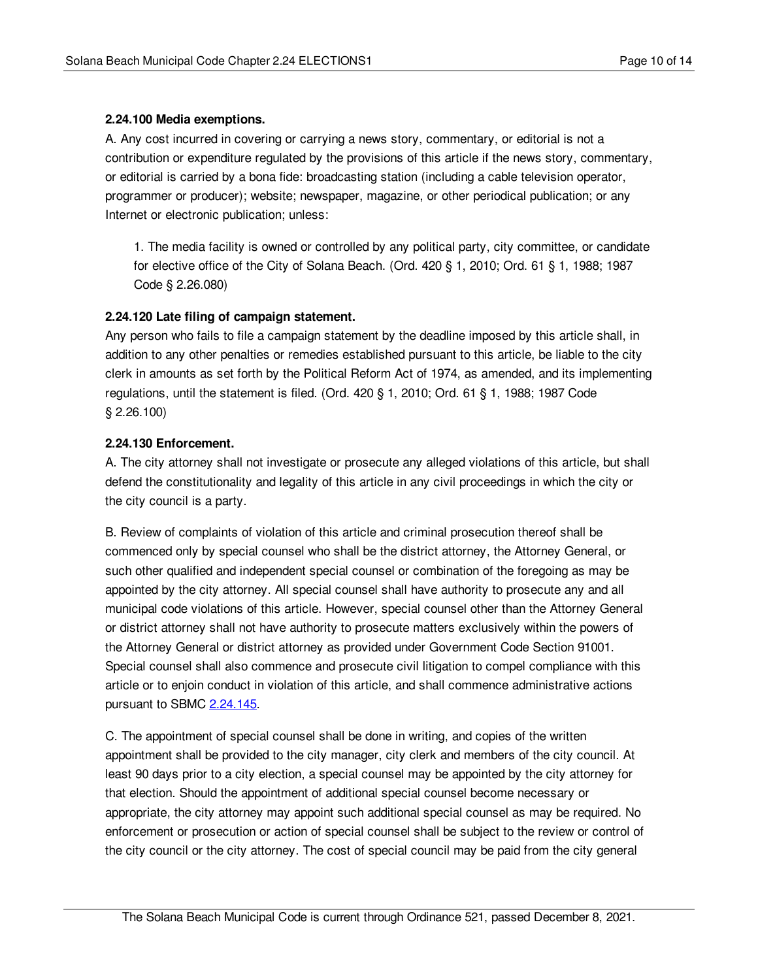### <span id="page-9-0"></span>**2.24.100 Media exemptions.**

A. Any cost incurred in covering or carrying a news story, commentary, or editorial is not a contribution or expenditure regulated by the provisions of this article if the news story, commentary, or editorial is carried by a bona fide: broadcasting station (including a cable television operator, programmer or producer); website; newspaper, magazine, or other periodical publication; or any Internet or electronic publication; unless:

1. The media facility is owned or controlled by any political party, city committee, or candidate for elective office of the City of Solana Beach. (Ord. 420 § 1, 2010; Ord. 61 § 1, 1988; 1987 Code § 2.26.080)

### <span id="page-9-1"></span>**2.24.120 Late filing of campaign statement.**

Any person who fails to file a campaign statement by the deadline imposed by this article shall, in addition to any other penalties or remedies established pursuant to this article, be liable to the city clerk in amounts as set forth by the Political Reform Act of 1974, as amended, and its implementing regulations, until the statement is filed. (Ord. 420 § 1, 2010; Ord. 61 § 1, 1988; 1987 Code § 2.26.100)

### <span id="page-9-2"></span>**2.24.130 Enforcement.**

A. The city attorney shall not investigate or prosecute any alleged violations of this article, but shall defend the constitutionality and legality of this article in any civil proceedings in which the city or the city council is a party.

B. Review of complaints of violation of this article and criminal prosecution thereof shall be commenced only by special counsel who shall be the district attorney, the Attorney General, or such other qualified and independent special counsel or combination of the foregoing as may be appointed by the city attorney. All special counsel shall have authority to prosecute any and all municipal code violations of this article. However, special counsel other than the Attorney General or district attorney shall not have authority to prosecute matters exclusively within the powers of the Attorney General or district attorney as provided under Government Code Section 91001. Special counsel shall also commence and prosecute civil litigation to compel compliance with this article or to enjoin conduct in violation of this article, and shall commence administrative actions pursuant to SBMC [2.24.145](#page-10-1).

C. The appointment of special counsel shall be done in writing, and copies of the written appointment shall be provided to the city manager, city clerk and members of the city council. At least 90 days prior to a city election, a special counsel may be appointed by the city attorney for that election. Should the appointment of additional special counsel become necessary or appropriate, the city attorney may appoint such additional special counsel as may be required. No enforcement or prosecution or action of special counsel shall be subject to the review or control of the city council or the city attorney. The cost of special council may be paid from the city general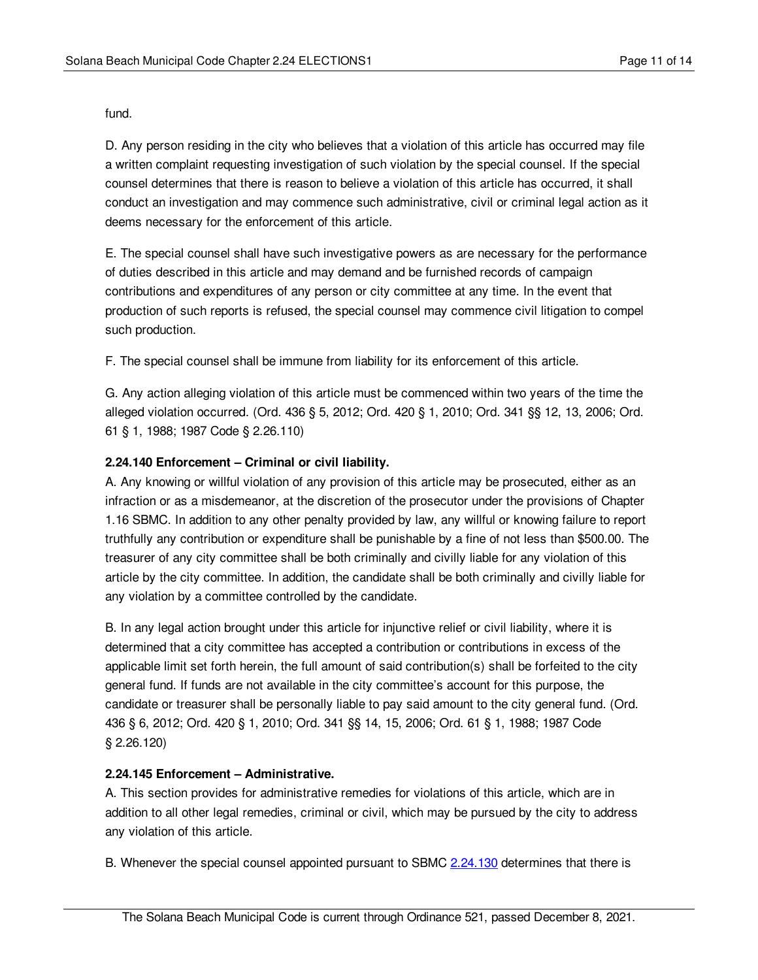fund.

D. Any person residing in the city who believes that a violation of this article has occurred may file a written complaint requesting investigation of such violation by the special counsel. If the special counsel determines that there is reason to believe a violation of this article has occurred, it shall conduct an investigation and may commence such administrative, civil or criminal legal action as it deems necessary for the enforcement of this article.

E. The special counsel shall have such investigative powers as are necessary for the performance of duties described in this article and may demand and be furnished records of campaign contributions and expenditures of any person or city committee at any time. In the event that production of such reports is refused, the special counsel may commence civil litigation to compel such production.

F. The special counsel shall be immune from liability for its enforcement of this article.

G. Any action alleging violation of this article must be commenced within two years of the time the alleged violation occurred. (Ord. 436 § 5, 2012; Ord. 420 § 1, 2010; Ord. 341 §§ 12, 13, 2006; Ord. 61 § 1, 1988; 1987 Code § 2.26.110)

### <span id="page-10-0"></span>**2.24.140 Enforcement – Criminal or civil liability.**

A. Any knowing or willful violation of any provision of this article may be prosecuted, either as an infraction or as a misdemeanor, at the discretion of the prosecutor under the provisions of Chapter 1.16 SBMC. In addition to any other penalty provided by law, any willful or knowing failure to report truthfully any contribution or expenditure shall be punishable by a fine of not less than \$500.00. The treasurer of any city committee shall be both criminally and civilly liable for any violation of this article by the city committee. In addition, the candidate shall be both criminally and civilly liable for any violation by a committee controlled by the candidate.

B. In any legal action brought under this article for injunctive relief or civil liability, where it is determined that a city committee has accepted a contribution or contributions in excess of the applicable limit set forth herein, the full amount of said contribution(s) shall be forfeited to the city general fund. If funds are not available in the city committee's account for this purpose, the candidate or treasurer shall be personally liable to pay said amount to the city general fund. (Ord. 436 § 6, 2012; Ord. 420 § 1, 2010; Ord. 341 §§ 14, 15, 2006; Ord. 61 § 1, 1988; 1987 Code § 2.26.120)

### <span id="page-10-1"></span>**2.24.145 Enforcement – Administrative.**

A. This section provides for administrative remedies for violations of this article, which are in addition to all other legal remedies, criminal or civil, which may be pursued by the city to address any violation of this article.

B. Whenever the special counsel appointed pursuant to SBMC [2.24.130](#page-9-2) determines that there is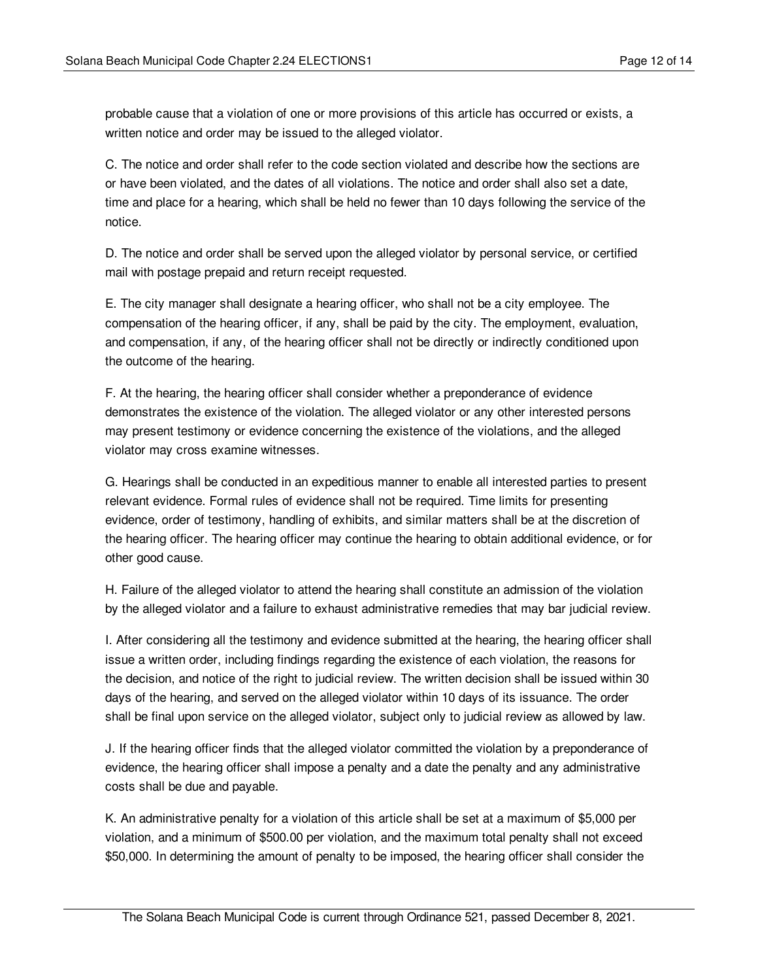probable cause that a violation of one or more provisions of this article has occurred or exists, a written notice and order may be issued to the alleged violator.

C. The notice and order shall refer to the code section violated and describe how the sections are or have been violated, and the dates of all violations. The notice and order shall also set a date, time and place for a hearing, which shall be held no fewer than 10 days following the service of the notice.

D. The notice and order shall be served upon the alleged violator by personal service, or certified mail with postage prepaid and return receipt requested.

E. The city manager shall designate a hearing officer, who shall not be a city employee. The compensation of the hearing officer, if any, shall be paid by the city. The employment, evaluation, and compensation, if any, of the hearing officer shall not be directly or indirectly conditioned upon the outcome of the hearing.

F. At the hearing, the hearing officer shall consider whether a preponderance of evidence demonstrates the existence of the violation. The alleged violator or any other interested persons may present testimony or evidence concerning the existence of the violations, and the alleged violator may cross examine witnesses.

G. Hearings shall be conducted in an expeditious manner to enable all interested parties to present relevant evidence. Formal rules of evidence shall not be required. Time limits for presenting evidence, order of testimony, handling of exhibits, and similar matters shall be at the discretion of the hearing officer. The hearing officer may continue the hearing to obtain additional evidence, or for other good cause.

H. Failure of the alleged violator to attend the hearing shall constitute an admission of the violation by the alleged violator and a failure to exhaust administrative remedies that may bar judicial review.

I. After considering all the testimony and evidence submitted at the hearing, the hearing officer shall issue a written order, including findings regarding the existence of each violation, the reasons for the decision, and notice of the right to judicial review. The written decision shall be issued within 30 days of the hearing, and served on the alleged violator within 10 days of its issuance. The order shall be final upon service on the alleged violator, subject only to judicial review as allowed by law.

J. If the hearing officer finds that the alleged violator committed the violation by a preponderance of evidence, the hearing officer shall impose a penalty and a date the penalty and any administrative costs shall be due and payable.

K. An administrative penalty for a violation of this article shall be set at a maximum of \$5,000 per violation, and a minimum of \$500.00 per violation, and the maximum total penalty shall not exceed \$50,000. In determining the amount of penalty to be imposed, the hearing officer shall consider the